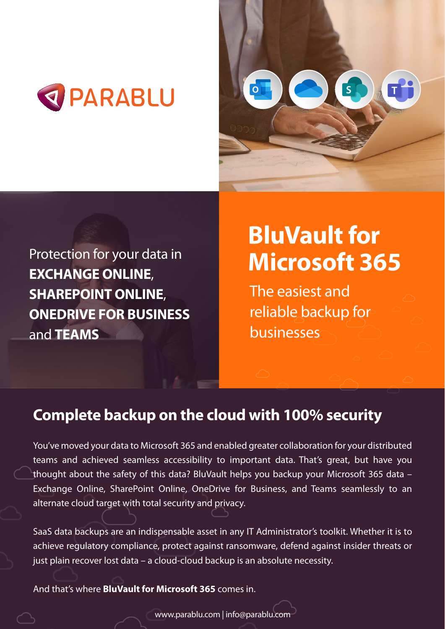**BluVault for Microsoft 365**

The easiest and reliable backup for



You've moved your data to Microsoft 365 and enabled greater collaboration for your distributed teams and achieved seamless accessibility to important data. That's great, but have you thought about the safety of this data? BluVault helps you backup your Microsoft 365 data -





# Protection for your data in **EXCHANGE ONLINE**, **SHAREPOINT ONLINE**, **ONEDRIVE FOR BUSINESS**

### and **TEAMS**

## **Complete backup on the cloud with 100% security**

Exchange Online, SharePoint Online, OneDrive for Business, and Teams seamlessly to an alternate cloud target with total security and privacy.

SaaS data backups are an indispensable asset in any IT Administrator's toolkit. Whether it is to achieve regulatory compliance, protect against ransomware, defend against insider threats or just plain recover lost data – a cloud-cloud backup is an absolute necessity.

#### And that's where **BluVault for Microsoft 365** comes in.

www.parablu.com | info@parablu.com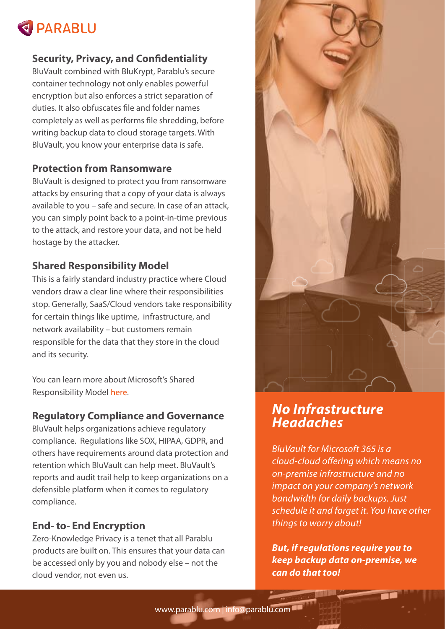

### **Security, Privacy, and Confidentiality**

BluVault combined with BluKrypt, Parablu's secure container technology not only enables powerful encryption but also enforces a strict separation of duties. It also obfuscates file and folder names completely as well as performs file shredding, before writing backup data to cloud storage targets. With BluVault, you know your enterprise data is safe.



### **Protection from Ransomware**

You can learn more about Microsoft's Shared Responsibility Model https://docs.microsoft.com/en-us/azure/security/fundamentals/shared-responsibility/fundamentals/shared-responsibility/fundamentals/shared-responsibility/fundamentals/shared-responsibility/fundamentals/shared-responsibilit

BluVault is designed to protect you from ransomware attacks by ensuring that a copy of your data is always available to you – safe and secure. In case of an attack, you can simply point back to a point-in-time previous to the attack, and restore your data, and not be held hostage by the attacker.

### **Shared Responsibility Model**

This is a fairly standard industry practice where Cloud vendors draw a clear line where their responsibilities stop. Generally, SaaS/Cloud vendors take responsibility for certain things like uptime, infrastructure, and

network availability – but customers remain responsible for the data that they store in the cloud and its security.

#### **Regulatory Compliance and Governance**

BluVault helps organizations achieve regulatory compliance. Regulations like SOX, HIPAA, GDPR, and others have requirements around data protection and retention which BluVault can help meet. BluVault's reports and audit trail help to keep organizations on a

defensible platform when it comes to regulatory compliance.

### **End- to- End Encryption**

Zero-Knowledge Privacy is a tenet that all Parablu products are built on. This ensures that your data can be accessed only by you and nobody else – not the cloud vendor, not even us.

*No Infrastructure Headaches*

*BluVault for Microsoft 365 is a*  cloud-cloud offering which means no *on-premise infrastructure and no impact on your company's network bandwidth for daily backups. Just schedule it and forget it. You have other things to worry about!*

*But, if regulations require you to keep backup data on-premise, we can do that too!*

www.parablu.com | info@parablu.com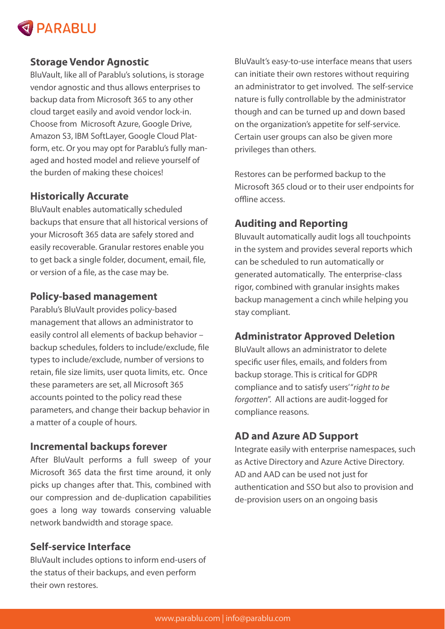

#### **Storage Vendor Agnostic**

BluVault, like all of Parablu's solutions, is storage vendor agnostic and thus allows enterprises to backup data from Microsoft 365 to any other cloud target easily and avoid vendor lock-in. Choose from Microsoft Azure, Google Drive, Amazon S3, IBM SoftLayer, Google Cloud Platform, etc. Or you may opt for Parablu's fully managed and hosted model and relieve yourself of the burden of making these choices!

BluVault enables automatically scheduled backups that ensure that all historical versions of your Microsoft 365 data are safely stored and easily recoverable. Granular restores enable you to get back a single folder, document, email, file, or version of a file, as the case may be.

### **Historically Accurate**

### **Policy-based management**

Parablu's BluVault provides policy-based management that allows an administrator to easily control all elements of backup behavior – backup schedules, folders to include/exclude, file types to include/exclude, number of versions to retain, file size limits, user quota limits, etc. Once these parameters are set, all Microsoft 365 accounts pointed to the policy read these parameters, and change their backup behavior in a matter of a couple of hours.

Restores can be performed backup to the Microsoft 365 cloud or to their user endpoints for offline access.

### **Incremental backups forever**

After BluVault performs a full sweep of your Microsoft 365 data the first time around, it only picks up changes after that. This, combined with our compression and de-duplication capabilities goes a long way towards conserving valuable network bandwidth and storage space.

### **Self-service Interface**

BluVault includes options to inform end-users of the status of their backups, and even perform their own restores.

BluVault's easy-to-use interface means that users can initiate their own restores without requiring an administrator to get involved. The self-service nature is fully controllable by the administrator though and can be turned up and down based on the organization's appetite for self-service. Certain user groups can also be given more privileges than others.

### **Auditing and Reporting**

Bluvault automatically audit logs all touchpoints in the system and provides several reports which can be scheduled to run automatically or generated automatically. The enterprise-class rigor, combined with granular insights makes backup management a cinch while helping you stay compliant.

#### **Administrator Approved Deletion**

BluVault allows an administrator to delete specific user files, emails, and folders from backup storage. This is critical for GDPR compliance and to satisfy users' "*right to be forgotten*". All actions are audit-logged for compliance reasons.

### **AD and Azure AD Support**

Integrate easily with enterprise namespaces, such as Active Directory and Azure Active Directory. AD and AAD can be used not just for authentication and SSO but also to provision and de-provision users on an ongoing basis

www.parablu.com | info@parablu.com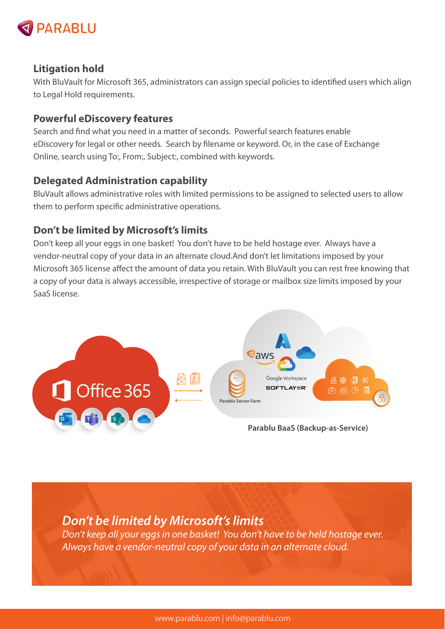

### **Litigation hold**

With BluVault for Microsoft 365, administrators can assign special policies to identified users which align to Legal Hold requirements.

### **Powerful eDiscovery features**

Search and find what you need in a matter of seconds. Powerful search features enable eDiscovery for legal or other needs. Search by filename or keyword. Or, in the case of Exchange Online, search using To:, From:, Subject:, combined with keywords.

BluVault allows administrative roles with limited permissions to be assigned to selected users to allow them to perform specific administrative operations.

### **Delegated Administration capability**

### **Don't be limited by Microsoft's limits**

Don't keep all your eggs in one basket! You don't have to be held hostage ever. Always have a vendor-neutral copy of your data in an alternate cloud.And don't let limitations imposed by your Microsoft 365 license affect the amount of data you retain. With BluVault you can rest free knowing that a copy of your data is always accessible, irrespective of storage or mailbox size limits imposed by your SaaS license.

www.parablu.com | info@parablu.com

*Don't be limited by Microsoft's limits Don't keep all your eggs in one basket! You don't have to be held hostage ever. Always have a vendor-neutral copy of your data in an alternate cloud.*